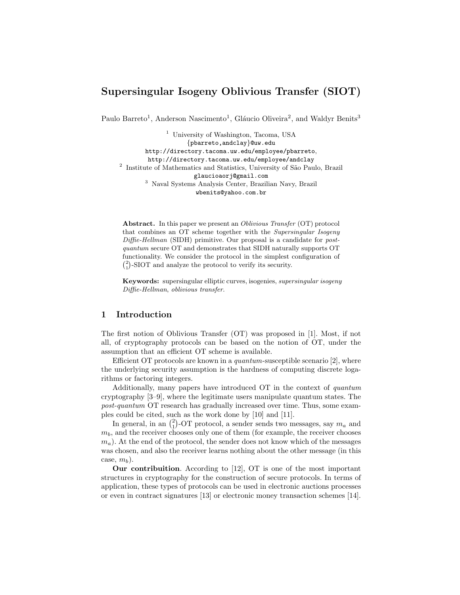# Supersingular Isogeny Oblivious Transfer (SIOT)

Paulo Barreto<sup>1</sup>, Anderson Nascimento<sup>1</sup>, Gláucio Oliveira<sup>2</sup>, and Waldyr Benits<sup>3</sup>

<sup>1</sup> University of Washington, Tacoma, USA {pbarreto,andclay}@uw.edu http://directory.tacoma.uw.edu/employee/pbarreto, http://directory.tacoma.uw.edu/employee/andclay <sup>2</sup> Institute of Mathematics and Statistics, University of São Paulo, Brazil glaucioaorj@gmail.com <sup>3</sup> Naval Systems Analysis Center, Brazilian Navy, Brazil wbenits@yahoo.com.br

Abstract. In this paper we present an *Oblivious Transfer* (OT) protocol that combines an OT scheme together with the Supersingular Isogeny Diffie-Hellman (SIDH) primitive. Our proposal is a candidate for postquantum secure OT and demonstrates that SIDH naturally supports OT functionality. We consider the protocol in the simplest configuration of  $\binom{2}{1}$ -SIOT and analyze the protocol to verify its security.

Keywords: supersingular elliptic curves, isogenies, supersingular isogeny Diffie-Hellman, oblivious transfer.

# 1 Introduction

The first notion of Oblivious Transfer (OT) was proposed in [1]. Most, if not all, of cryptography protocols can be based on the notion of OT, under the assumption that an efficient OT scheme is available.

Efficient OT protocols are known in a *quantum*-susceptible scenario  $[2]$ , where the underlying security assumption is the hardness of computing discrete logarithms or factoring integers.

Additionally, many papers have introduced OT in the context of quantum cryptography [3–9], where the legitimate users manipulate quantum states. The post-quantum OT research has gradually increased over time. Thus, some examples could be cited, such as the work done by [10] and [11].

In general, in an  $\binom{2}{1}$ -OT protocol, a sender sends two messages, say  $m_a$  and  $m_b$ , and the receiver chooses only one of them (for example, the receiver chooses  $m_a$ ). At the end of the protocol, the sender does not know which of the messages was chosen, and also the receiver learns nothing about the other message (in this case,  $m_h$ ).

Our contribuition. According to [12], OT is one of the most important structures in cryptography for the construction of secure protocols. In terms of application, these types of protocols can be used in electronic auctions processes or even in contract signatures [13] or electronic money transaction schemes [14].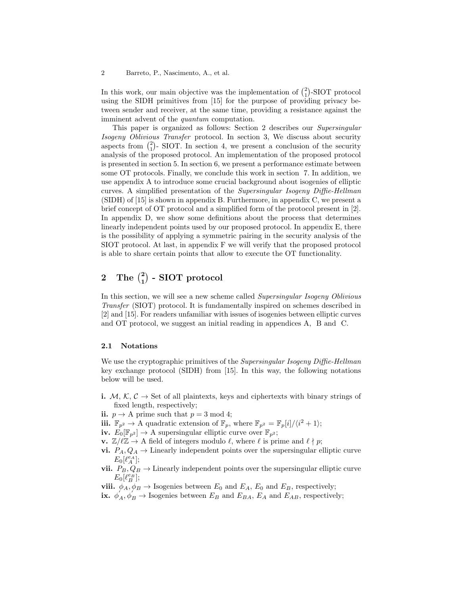In this work, our main objective was the implementation of  $\binom{2}{1}$ -SIOT protocol using the SIDH primitives from [15] for the purpose of providing privacy between sender and receiver, at the same time, providing a resistance against the imminent advent of the *quantum* computation.

This paper is organized as follows: Section 2 describes our Supersingular Isogeny Oblivious Transfer protocol. In section 3, We discuss about security aspects from  $\binom{2}{1}$ - SIOT. In section 4, we present a conclusion of the security analysis of the proposed protocol. An implementation of the proposed protocol is presented in section 5. In section 6, we present a performance estimate between some OT protocols. Finally, we conclude this work in section 7. In addition, we use appendix A to introduce some crucial background about isogenies of elliptic curves. A simplified presentation of the Supersingular Isogeny Diffie-Hellman (SIDH) of [15] is shown in appendix B. Furthermore, in appendix C, we present a brief concept of OT protocol and a simplified form of the protocol present in [2]. In appendix D, we show some definitions about the process that determines linearly independent points used by our proposed protocol. In appendix E, there is the possibility of applying a symmetric pairing in the security analysis of the SIOT protocol. At last, in appendix F we will verify that the proposed protocol is able to share certain points that allow to execute the OT functionality.

# $2\quad \text{The } {2 \choose 1}$  -  $\text{SIOT}$  protocol

In this section, we will see a new scheme called Supersingular Isogeny Oblivious Transfer (SIOT) protocol. It is fundamentally inspired on schemes described in [2] and [15]. For readers unfamiliar with issues of isogenies between elliptic curves and OT protocol, we suggest an initial reading in appendices A, B and C.

#### 2.1 Notations

We use the cryptographic primitives of the *Supersingular Isogeny Diffie-Hellman* key exchange protocol (SIDH) from [15]. In this way, the following notations below will be used.

i.  $M, K, C \rightarrow$  Set of all plaintexts, keys and ciphertexts with binary strings of fixed length, respectively;

ii.  $p \to A$  prime such that  $p = 3 \text{ mod } 4$ ;

iii.  $\mathbb{F}_{p^2} \to A$  quadratic extension of  $\mathbb{F}_p$ , where  $\mathbb{F}_{p^2} = \mathbb{F}_p[i]/\langle i^2 + 1 \rangle;$ 

iv.  $E_0[\mathbb{F}_{p^2}] \to A$  supersingular elliptic curve over  $\mathbb{F}_{p^2}$ ;

**v.**  $\mathbb{Z}/\ell\mathbb{Z} \to$  A field of integers modulo  $\ell$ , where  $\ell$  is prime and  $\ell \nmid p$ ;

- vi.  $P_A, Q_A \rightarrow$  Linearly independent points over the supersingular elliptic curve  $E_0[\ell_A^{e_A}];$
- vii.  $P_B, Q_B \rightarrow$  Linearly independent points over the supersingular elliptic curve  $E_0[\ell_B^{e_B}];$
- viii.  $\phi_A, \phi_B \to$  Isogenies between  $E_0$  and  $E_A$ ,  $E_0$  and  $E_B$ , respectively;
- ix.  $\phi'_A, \phi'_B \to$  Isogenies between  $E_B$  and  $E_{BA}$ ,  $E_A$  and  $E_{AB}$ , respectively;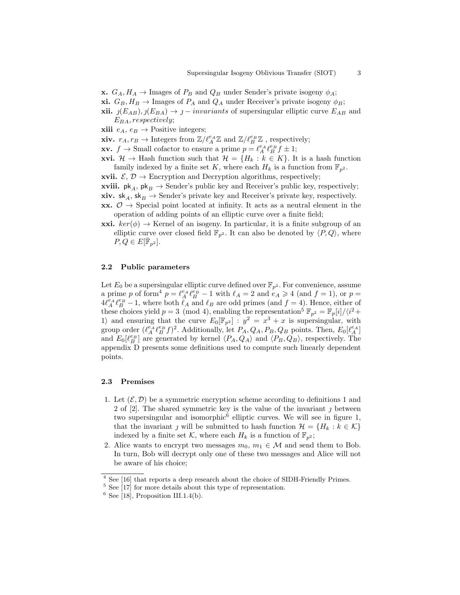- **x.**  $G_A, H_A \to \text{Images of } P_B \text{ and } Q_B \text{ under Sender's private isogeny } \phi_A;$
- **xi.**  $G_B, H_B \to \text{Images of } P_A$  and  $Q_A$  under Receiver's private isogeny  $\phi_B$ ;
- **xii.**  $j(E_{AB}), j(E_{BA}) \rightarrow j invariants$  of supersingular elliptic curve  $E_{AB}$  and  $E_{BA}$ , respectively;
- **xiii**  $e_A, e_B \rightarrow$  Positive integers;

**xiv.**  $r_A, r_B \to \text{Integers from } \mathbb{Z}/\ell_A^{e_A} \mathbb{Z} \text{ and } \mathbb{Z}/\ell_B^{e_B} \mathbb{Z}$ , respectively;

**xv.**  $f \to \text{Small cofactor to ensure a prime } p = \ell_A^{e_A} \ell_B^{e_B} f \pm 1;$ 

**xvi.**  $\mathcal{H} \to$  Hash function such that  $\mathcal{H} = \{H_k : k \in K\}$ . It is a hash function family indexed by a finite set K, where each  $H_k$  is a function from  $\mathbb{F}_{p^2}$ .

**xvii.**  $\mathcal{E}, \mathcal{D} \to$  Encryption and Decryption algorithms, respectively;

**xviii.**  $\mathsf{pk}_A$ ,  $\mathsf{pk}_B \to \text{Sender's public key and Receiver's public key, respectively;}$ 

xiv.  $sk_A, sk_B \rightarrow$  Sender's private key and Receiver's private key, respectively.

xx.  $\mathcal{O} \rightarrow$  Special point located at infinity. It acts as a neutral element in the operation of adding points of an elliptic curve over a finite field;

**xxi.**  $ker(\phi) \rightarrow$  Kernel of an isogeny. In particular, it is a finite subgroup of an elliptic curve over closed field  $\mathbb{F}_{p^2}$ . It can also be denoted by  $\langle P, Q \rangle$ , where  $P, Q \in E[\bar{\mathbb{F}}_{p^2}].$ 

#### 2.2 Public parameters

Let  $E_0$  be a supersingular elliptic curve defined over  $\mathbb{F}_{p^2}$ . For convenience, assume a prime p of form<sup>4</sup>  $p = \ell_A^{e_A} \ell_B^{e_B} - 1$  with  $\ell_A = 2$  and  $e_A \ge 4$  (and  $f = 1$ ), or  $p =$  $4\ell_A^{e_A}\ell_B^{e_B} - 1$ , where both  $\ell_A$  and  $\ell_B$  are odd primes (and  $f = 4$ ). Hence, either of these choices yield  $p = 3 \pmod{4}$ , enabling the representation<sup>5</sup>  $\mathbb{F}_{p^2} = \mathbb{F}_p[i]/\langle i^2 +$ 1) and ensuring that the curve  $E_0[\mathbb{F}_{p^2}]$  :  $y^2 = x^3 + x$  is supersingular, with group order  $(\ell_A^{e_A} \ell_B^{e_B} f)^2$ . Additionally, let  $P_A, Q_A, P_B, Q_B$  points. Then,  $E_0[\ell_A^{e_A}]$ and  $E_0[\ell_B^{\varepsilon_B}]$  are generated by kernel  $\langle P_A, Q_A \rangle$  and  $\langle P_B, Q_B \rangle$ , respectively. The appendix D presents some definitions used to compute such linearly dependent points.

#### 2.3 Premises

- 1. Let  $(\mathcal{E}, \mathcal{D})$  be a symmetric encryption scheme according to definitions 1 and 2 of [2]. The shared symmetric key is the value of the invariant  $\gamma$  between two supersingular and isomorphic<sup>6</sup> elliptic curves. We will see in figure 1, that the invariant *j* will be submitted to hash function  $\mathcal{H} = \{H_k : k \in \mathcal{K}\}\$ indexed by a finite set K, where each  $H_k$  is a function of  $\mathbb{F}_{n^2}$ ;
- 2. Alice wants to encrypt two messages  $m_0, m_1 \in \mathcal{M}$  and send them to Bob. In turn, Bob will decrypt only one of these two messages and Alice will not be aware of his choice;

 $^4$  See [16] that reports a deep research about the choice of SIDH-Friendly Primes.

 $5$  See [17] for more details about this type of representation.

 $6$  See [18], Proposition III.1.4(b).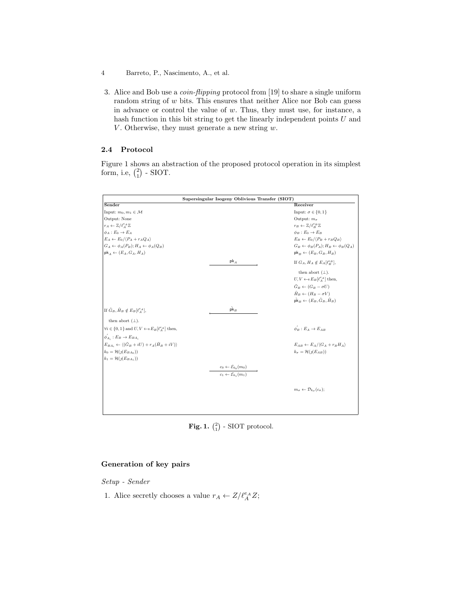- 4 Barreto, P., Nascimento, A., et al.
- 3. Alice and Bob use a coin-flipping protocol from [19] to share a single uniform random string of  $w$  bits. This ensures that neither Alice nor Bob can guess in advance or control the value of w. Thus, they must use, for instance, a hash function in this bit string to get the linearly independent points  $U$  and V. Otherwise, they must generate a new string  $w$ .

# 2.4 Protocol

Figure 1 shows an abstraction of the proposed protocol operation in its simplest form, i.e,  $\binom{2}{1}$  - SIOT.

| Supersingular Isogeny Oblivious Transfer (SIOT)                               |                                                                                    |                                                              |
|-------------------------------------------------------------------------------|------------------------------------------------------------------------------------|--------------------------------------------------------------|
| Sender                                                                        |                                                                                    | Receiver                                                     |
| Input: $m_0, m_1 \in \mathcal{M}$                                             |                                                                                    | Input: $\sigma \in \{0, 1\}$                                 |
| Output: None                                                                  |                                                                                    | Output: $m_{\sigma}$                                         |
| $r_A \leftarrow \mathbb{Z}/\ell_A^{e_A} \mathbb{Z}$                           |                                                                                    | $r_B \leftarrow \mathbb{Z}/\ell_P^{e_B} \mathbb{Z}$          |
| $\phi_A : E_0 \to E_A$                                                        |                                                                                    | $\phi_B : E_0 \to E_B$                                       |
| $E_A \leftarrow E_0 / \langle P_A + r_A Q_A \rangle$                          |                                                                                    | $E_B \leftarrow E_0/(P_B + r_B Q_B)$                         |
| $G_A \leftarrow \phi_A(P_B); H_A \leftarrow \phi_A(Q_B)$                      |                                                                                    | $G_B \leftarrow \phi_B(P_A); H_B \leftarrow \phi_B(Q_A)$     |
| $pk_A \leftarrow (E_A, G_A, H_A)$                                             |                                                                                    | $\mathsf{pk}_B \leftarrow (E_B, G_B, H_B)$                   |
|                                                                               | $pk_{A}$                                                                           | If $G_A, H_A \notin E_A[\ell_{\scriptscriptstyle B}^{e_B}],$ |
|                                                                               |                                                                                    | then abort $(\perp)$ .                                       |
|                                                                               |                                                                                    | $U, V \leftarrow \varepsilon E_B[\ell_A^{e_A}]$ then,        |
|                                                                               |                                                                                    | $\hat{G}_B \leftarrow (G_B - \sigma U)$                      |
|                                                                               |                                                                                    | $\hat{H}_B \leftarrow (H_B - \sigma V)$                      |
|                                                                               |                                                                                    | $\hat{\mathsf{pk}}_B \leftarrow (E_B, \hat{G}_B, \hat{H}_B)$ |
| If $\hat{G}_B$ , $\hat{H}_B \notin E_B[\ell_A^{e_A}],$                        | $\hat{\mathsf{pk}}_B$                                                              |                                                              |
| then abort $(\perp)$ .                                                        |                                                                                    |                                                              |
| $\forall i \in \{0, 1\}$ and $U, V \leftarrow s E_B[\ell_A^{e_A}]$ then,      |                                                                                    | $\phi_B : E_A \rightarrow E_{AB}$                            |
| $\phi'_{A_i}: E_B \to E_{BA_i}$                                               |                                                                                    |                                                              |
| $E_{BA_i} \leftarrow \langle (\hat{G}_B + iU) + r_A (\hat{H}_B + iV) \rangle$ |                                                                                    | $E_{AB} \leftarrow E_A / \langle G_A + r_B H_A \rangle$      |
| $k_0 = \mathcal{H}(j(E_{BA_0}))$                                              |                                                                                    | $k_{\sigma} = \mathcal{H}(j(E_{AB}))$                        |
| $k_1 = \mathcal{H}(j(E_{BA_1}))$                                              |                                                                                    |                                                              |
|                                                                               |                                                                                    |                                                              |
|                                                                               | $c_0 \leftarrow \mathcal{E}_{k_0}(m_0)$<br>$c_1 \leftarrow \mathcal{E}_{k_1}(m_1)$ |                                                              |
|                                                                               |                                                                                    |                                                              |
|                                                                               |                                                                                    | $m_{\sigma} \leftarrow \mathcal{D}_{k_{-}}(c_{\sigma});$     |
|                                                                               |                                                                                    |                                                              |
|                                                                               |                                                                                    |                                                              |

**Fig. 1.**  $\binom{2}{1}$  - SIOT protocol.

# Generation of key pairs

Setup - Sender

1. Alice secretly chooses a value  $r_A \leftarrow Z/\ell_A^{e_A} Z;$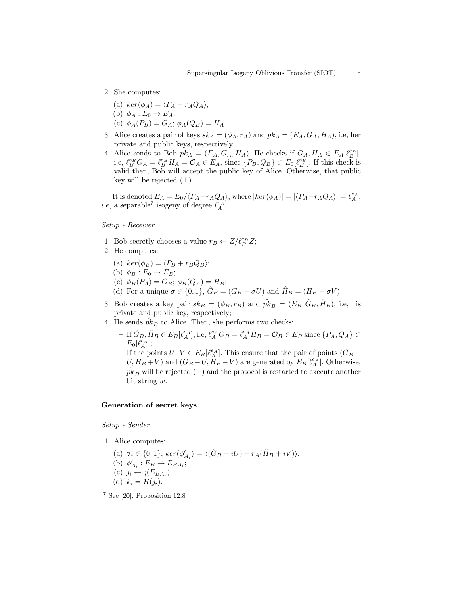- 2. She computes:
	- (a)  $ker(\phi_A) = \langle P_A + r_A Q_A \rangle;$
	- (b)  $\phi_A : E_0 \to E_A;$
	- (c)  $\phi_A(P_B) = G_A$ ;  $\phi_A(Q_B) = H_A$ .
- 3. Alice creates a pair of keys  $sk_A = (\phi_A, r_A)$  and  $pk_A = (E_A, G_A, H_A)$ , i.e, her private and public keys, respectively;
- 4. Alice sends to Bob  $pk_A = (E_A, G_A, H_A)$ . He checks if  $G_A, H_A \in E_A[\ell_B^{e_B}],$ i.e,  $\ell_B^{e_B} G_A = \ell_B^{e_B} H_A = \mathcal{O}_A \in E_A$ , since  $\{P_B, Q_B\} \subset E_0[\ell_B^{e_B}]$ . If this check is valid then, Bob will accept the public key of Alice. Otherwise, that public key will be rejected  $(\perp)$ .

It is denoted  $E_A = E_0 / \langle P_A + r_A Q_A \rangle$ , where  $|ker(\phi_A)| = |\langle P_A + r_A Q_A \rangle| = \ell_A^{e_A},$ *i.e.*, a separable<sup>7</sup> isogeny of degree  $\ell_A^{e_A}$ .

Setup - Receiver

- 1. Bob secretly chooses a value  $r_B \leftarrow Z/\ell_B^{e_B} Z;$
- 2. He computes:
	- (a)  $ker(\phi_B) = \langle P_B + r_B Q_B \rangle;$
	- (b)  $\phi_B : E_0 \to E_B;$
	- (c)  $\phi_B(P_A) = G_B$ ;  $\phi_B(Q_A) = H_B$ ;
	- (d) For a unique  $\sigma \in \{0, 1\}$ ,  $\hat{G}_B = (G_B \sigma U)$  and  $\hat{H}_B = (H_B \sigma V)$ .
- 3. Bob creates a key pair  $sk_B = (\phi_B, r_B)$  and  $\hat{pk}_B = (E_B, \hat{G}_B, \hat{H}_B)$ , i.e, his private and public key, respectively;
- 4. He sends  $pk_B$  to Alice. Then, she performs two checks:
	- $-$  If  $\hat{G}_B$ ,  $\hat{H}_B \in E_B[\ell_A^{e_A}],$  i.e,  $\ell_A^{e_A} G_B = \ell_A^{e_A} H_B = \mathcal{O}_B \in E_B$  since  $\{P_A, Q_A\} \subset$  $E_0[\ell_A^{e_A}];$
	- If the points  $U, V \in E_B[\ell_A^{\epsilon_A}]$ . This ensure that the pair of points  $(G_B +$  $U, H_B + V$ ) and  $(G_B - U, H_B - V)$  are generated by  $E_B[\ell_A^{\epsilon_A}]$ . Otherwise,  $\hat{pk}_B$  will be rejected ( $\perp$ ) and the protocol is restarted to execute another bit string w.

#### Generation of secret keys

Setup - Sender

- 1. Alice computes:
	- (a)  $\forall i \in \{0, 1\}, \, ker(\phi'_{A_i}) = \langle (\hat{G}_B + iU) + r_A(\hat{H}_B + iV) \rangle;$ (b)  $\phi'_{A_i}: E_B \rightarrow E_{BA_i};$ (c)  $j_i \leftarrow j(E_{BA_i});$ (d)  $k_i = \mathcal{H}(\jmath_i).$

<sup>7</sup> See [20], Proposition 12.8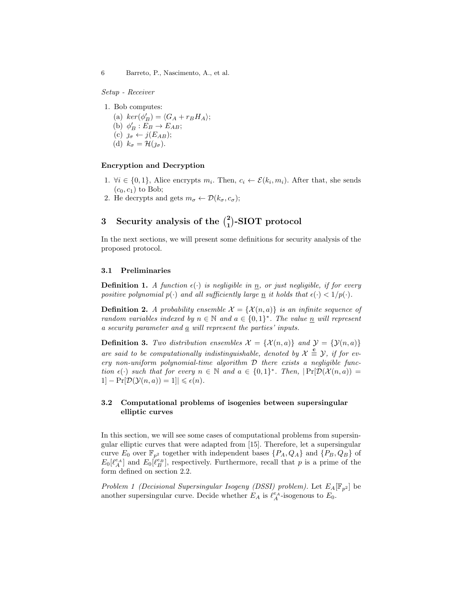Setup - Receiver

1. Bob computes:

(a)  $\ker(\phi'_B) = \langle G_A + r_B H_A \rangle;$ (b)  $\phi'_B : \overline{E}_B \to E_{AB};$ (c)  $\jmath_{\sigma} \leftarrow j(E_{AB});$ (d)  $k_{\sigma} = \mathcal{H}(\jmath_{\sigma}).$ 

#### Encryption and Decryption

- 1.  $\forall i \in \{0,1\}$ , Alice encrypts  $m_i$ . Then,  $c_i \leftarrow \mathcal{E}(k_i, m_i)$ . After that, she sends  $(c_0, c_1)$  to Bob;
- 2. He decrypts and gets  $m_{\sigma} \leftarrow \mathcal{D}(k_{\sigma}, c_{\sigma});$

# 3 Security analysis of the  $\binom{2}{1}$ -SIOT protocol

In the next sections, we will present some definitions for security analysis of the proposed protocol.

#### 3.1 Preliminaries

**Definition 1.** A function  $\epsilon(\cdot)$  is negligible in  $\underline{n}$ , or just negligible, if for every positive polynomial  $p(\cdot)$  and all sufficiently large n it holds that  $\epsilon(\cdot) < 1/p(\cdot)$ .

**Definition 2.** A probability ensemble  $\mathcal{X} = {\mathcal{X}(n, a)}$  is an infinite sequence of random variables indexed by  $n \in \mathbb{N}$  and  $a \in \{0,1\}^*$ . The value  $\underline{n}$  will represent a security parameter and  $\underline{a}$  will represent the parties' inputs.

**Definition 3.** Two distribution ensembles  $\mathcal{X} = {\mathcal{X}(n, a)}$  and  $\mathcal{Y} = {\mathcal{Y}(n, a)}$ are said to be computationally indistinguishable, denoted by  $\mathcal{X} \triangleq \mathcal{Y}$ , if for every non-uniform polynomial-time algorithm  $D$  there exists a negligible function  $\epsilon(\cdot)$  such that for every  $n \in \mathbb{N}$  and  $a \in \{0,1\}^*$ . Then,  $|\Pr[\mathcal{D}(\mathcal{X}(n,a))]=$  $1]-\Pr[\mathcal{D}(\mathcal{Y}(n,a))]=1]|\leqslant \epsilon(n).$ 

# 3.2 Computational problems of isogenies between supersingular elliptic curves

In this section, we will see some cases of computational problems from supersingular elliptic curves that were adapted from [15]. Therefore, let a supersingular curve  $E_0$  over  $\mathbb{F}_{p^2}$  together with independent bases  $\{P_A, Q_A\}$  and  $\{P_B, Q_B\}$  of  $E_0[\ell_A^{e_A}]$  and  $E_0[\ell_B^{e_B}]$ , respectively. Furthermore, recall that p is a prime of the form defined on section 2.2.

Problem 1 (Decisional Supersingular Isogeny (DSSI) problem). Let  $E_A[\mathbb{F}_{p^2}]$  be another supersingular curve. Decide whether  $E_A$  is  $\ell_A^{e_A}$ -isogenous to  $E_0$ .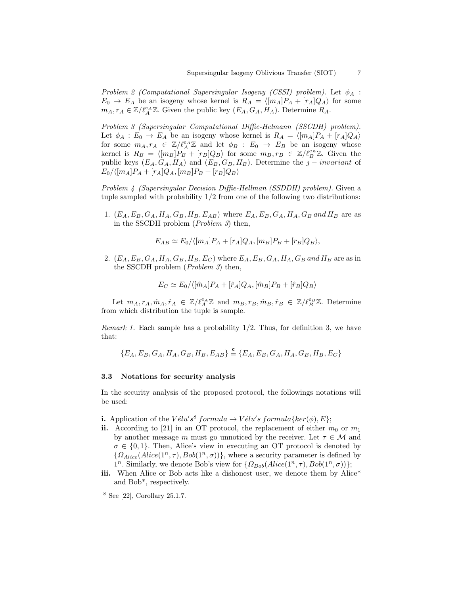Problem 2 (Computational Supersingular Isogeny (CSSI) problem). Let  $\phi_A$ :  $E_0 \rightarrow E_A$  be an isogeny whose kernel is  $R_A = \langle [m_A]P_A + [r_A]Q_A \rangle$  for some  $m_A, r_A \in \mathbb{Z}/\ell_A^{e_A}\mathbb{Z}$ . Given the public key  $(E_A, G_A, H_A)$ . Determine  $R_A$ .

Problem 3 (Supersingular Computational Diffie-Helmann (SSCDH) problem). Let  $\phi_A : E_0 \to E_A$  be an isogeny whose kernel is  $R_A = \langle [m_A]P_A + [r_A]Q_A \rangle$ for some  $m_A, r_A \in \mathbb{Z}/\ell_A^{e_A} \mathbb{Z}$  and let  $\phi_B : E_0 \to E_B$  be an isogeny whose kernel is  $R_B = \langle [m_B]P_B + [r_B]Q_B \rangle$  for some  $m_B, r_B \in \mathbb{Z}/\ell_B^{e_B} \mathbb{Z}$ . Given the public keys  $(E_A, G_A, H_A)$  and  $(E_B, G_B, H_B)$ . Determine the  $j$  – *invariant* of  $E_0/\langle[m_A]P_A + [r_A]Q_A,[m_B]P_B + [r_B]Q_B\rangle$ 

Problem 4 (Supersingular Decision Diffie-Hellman (SSDDH) problem). Given a tuple sampled with probability  $1/2$  from one of the following two distributions:

1.  $(E_A, E_B, G_A, H_A, G_B, H_B, E_{AB})$  where  $E_A, E_B, G_A, H_A, G_B$  and  $H_B$  are as in the SSCDH problem (Problem 3) then,

$$
E_{AB} \simeq E_0 / \langle [m_A] P_A + [r_A] Q_A, [m_B] P_B + [r_B] Q_B \rangle,
$$

2.  $(E_A, E_B, G_A, H_A, G_B, H_B, E_C)$  where  $E_A, E_B, G_A, H_A, G_B$  and  $H_B$  are as in the SSCDH problem (Problem 3) then,

$$
E_C \simeq E_0 / \langle [\hat{m}_A] P_A + [\hat{r}_A] Q_A, [\hat{m}_B] P_B + [\hat{r}_B] Q_B \rangle
$$

Let  $m_A, r_A, \hat{m}_A, \hat{r}_A \in \mathbb{Z}/\ell_A^{e_A} \mathbb{Z}$  and  $m_B, r_B, \hat{m}_B, \hat{r}_B \in \mathbb{Z}/\ell_B^{e_B} \mathbb{Z}$ . Determine from which distribution the tuple is sample.

Remark 1. Each sample has a probability  $1/2$ . Thus, for definition 3, we have that:

$$
\{E_A, E_B, G_A, H_A, G_B, H_B, E_{AB}\} \stackrel{\mathbf{c}}{=} \{E_A, E_B, G_A, H_A, G_B, H_B, E_C\}
$$

#### 3.3 Notations for security analysis

In the security analysis of the proposed protocol, the followings notations will be used:

- **i.** Application of the  $V \acute{e}l u's^ \delta$  formula  $\rightarrow V \acute{e}l u's$  formula{ $ker(\phi), E$ };
- ii. According to [21] in an OT protocol, the replacement of either  $m_0$  or  $m_1$ by another message m must go unnoticed by the receiver. Let  $\tau \in \mathcal{M}$  and  $\sigma \in \{0,1\}$ . Then, Alice's view in executing an OT protocol is denoted by  $\{\Omega_{Alice}(Alice(1^n, \tau), Bob(1^n, \sigma))\},$  where a security parameter is defined by 1<sup>n</sup>. Similarly, we denote Bob's view for  $\{\Omega_{Bob}(Alice(1^n, \tau), Bob(1^n, \sigma))\};$
- iii. When Alice or Bob acts like a dishonest user, we denote them by Alice<sup>\*</sup> and Bob\*, respectively.

<sup>8</sup> See [22], Corollary 25.1.7.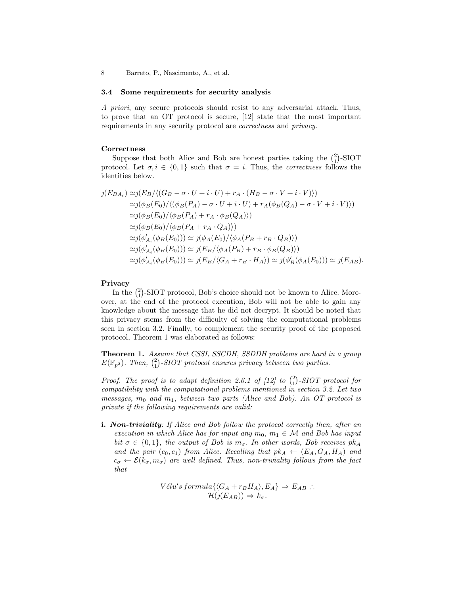8 Barreto, P., Nascimento, A., et al.

#### 3.4 Some requirements for security analysis

A priori, any secure protocols should resist to any adversarial attack. Thus, to prove that an OT protocol is secure, [12] state that the most important requirements in any security protocol are correctness and privacy.

#### Correctness

Suppose that both Alice and Bob are honest parties taking the  $\binom{2}{1}$ -SIOT protocol. Let  $\sigma, i \in \{0,1\}$  such that  $\sigma = i$ . Thus, the *correctness* follows the identities below.

$$
j(E_{BA_i}) \simeq j(E_B/\langle (G_B - \sigma \cdot U + i \cdot U) + r_A \cdot (H_B - \sigma \cdot V + i \cdot V) \rangle)
$$
  
\simeq j(\phi\_B(E\_0)/\langle (\phi\_B(P\_A) - \sigma \cdot U + i \cdot U) + r\_A(\phi\_B(Q\_A) - \sigma \cdot V + i \cdot V) \rangle)  
\simeq j(\phi\_B(E\_0)/\langle \phi\_B(P\_A) + r\_A \cdot \phi\_B(Q\_A) \rangle)  
\simeq j(\phi\_B(E\_0)/\langle \phi\_B(P\_A + r\_A \cdot Q\_A) \rangle)  
\simeq j(\phi'\_{A\_i}(\phi\_B(E\_0))) \simeq j(\phi\_A(E\_0)/\langle \phi\_A(P\_B + r\_B \cdot Q\_B) \rangle)  
\simeq j(\phi'\_{A\_i}(\phi\_B(E\_0))) \simeq j(E\_B/\langle \phi\_A(P\_B) + r\_B \cdot \phi\_B(Q\_B) \rangle)  
\simeq j(\phi'\_{A\_i}(\phi\_B(E\_0))) \simeq j(E\_B/\langle G\_A + r\_B \cdot H\_A \rangle) \simeq j(\phi'\_B(\phi\_A(E\_0))) \simeq j(E\_{AB}).

#### Privacy

In the  $\binom{2}{1}$ -SIOT protocol, Bob's choice should not be known to Alice. Moreover, at the end of the protocol execution, Bob will not be able to gain any knowledge about the message that he did not decrypt. It should be noted that this privacy stems from the difficulty of solving the computational problems seen in section 3.2. Finally, to complement the security proof of the proposed protocol, Theorem 1 was elaborated as follows:

Theorem 1. Assume that CSSI, SSCDH, SSDDH problems are hard in a group  $E(\mathbb{F}_{p^2})$ . Then,  $\binom{2}{1}$ -SIOT protocol ensures privacy between two parties.

Proof. The proof is to adapt definition 2.6.1 of  $[12]$  to  $\binom{2}{1}$ -SIOT protocol for compatibility with the computational problems mentioned in section 3.2. Let two messages,  $m_0$  and  $m_1$ , between two parts (Alice and Bob). An OT protocol is private if the following requirements are valid:

**i.** Non-triviality: If Alice and Bob follow the protocol correctly then, after an execution in which Alice has for input any  $m_0$ ,  $m_1 \in \mathcal{M}$  and Bob has input bit  $\sigma \in \{0,1\}$ , the output of Bob is  $m_{\sigma}$ . In other words, Bob receives  $pk_A$ and the pair  $(c_0, c_1)$  from Alice. Recalling that  $pk_A \leftarrow (E_A, G_A, H_A)$  and  $c_{\sigma} \leftarrow \mathcal{E}(k_{\sigma}, m_{\sigma})$  are well defined. Thus, non-triviality follows from the fact that

$$
Vélu's formula \{ \langle G_A + r_B H_A \rangle, E_A \} \Rightarrow E_{AB} : .
$$
  

$$
\mathcal{H}(j(E_{AB})) \Rightarrow k_{\sigma}.
$$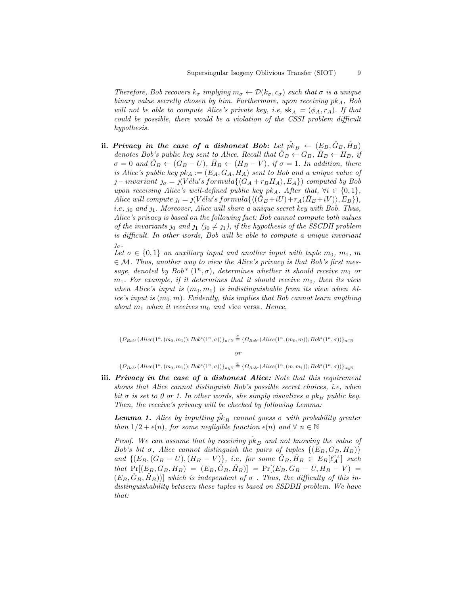Therefore, Bob recovers  $k_{\sigma}$  implying  $m_{\sigma} \leftarrow \mathcal{D}(k_{\sigma}, c_{\sigma})$  such that  $\sigma$  is a unique binary value secretly chosen by him. Furthermore, upon receiving  $pk<sub>A</sub>$ , Bob will not be able to compute Alice's private key, i.e,  $\mathsf{sk}_A = (\phi_A, r_A)$ . If that could be possible, there would be a violation of the CSSI problem difficult hypothesis.

ii. Privacy in the case of a dishonest Bob: Let  $\hat{pk}_B \leftarrow (E_B, \hat{G}_B, \hat{H}_B)$ denotes Bob's public key sent to Alice. Recall that  $G_B \leftarrow G_B$ ,  $H_B \leftarrow H_B$ , if  $\sigma = 0$  and  $G_B \leftarrow (G_B - U)$ ,  $H_B \leftarrow (H_B - V)$ , if  $\sigma = 1$ . In addition, there is Alice's public key  $pk_A := (E_A, G_A, H_A)$  sent to Bob and a unique value of  $j-invariant$   $j_{\sigma} = j(V\acute{e}lu's formula\{\langle G_A + r_B H_A \rangle, E_A \})$  computed by Bob upon receiving Alice's well-defined public key pk<sub>A</sub>. After that,  $\forall i \in \{0,1\},\$ Alice will compute  $j_i = \iint V \ell' \ell' \nu' s \, formula \{ \langle (\hat{G}_B + iU) + r_A(\hat{H}_B + iV) \rangle, E_B \} \rangle,$ *i.e,*  $j_0$  and  $j_1$ . Moreover, Alice will share a unique secret key with Bob. Thus, Alice's privacy is based on the following fact: Bob cannot compute both values of the invariants  $y_0$  and  $y_1$   $(y_0 \neq y_1)$ , if the hypothesis of the SSCDH problem is difficult. In other words, Bob will be able to compute a unique invariant  $\jmath_{\sigma}$ .

Let  $\sigma \in \{0,1\}$  an auxiliary input and another input with tuple  $m_0, m_1, m_2$  $\epsilon \in \mathcal{M}$ . Thus, another way to view the Alice's privacy is that Bob's first message, denoted by Bob<sup>\*</sup>  $(1^n, \sigma)$ , determines whether it should receive m<sub>0</sub> or  $m_1$ . For example, if it determines that it should receive  $m_0$ , then its view when Alice's input is  $(m_0, m_1)$  is indistinguishable from its view when Alice's input is  $(m_0, m)$ . Evidently, this implies that Bob cannot learn anything about  $m_1$  when it receives  $m_0$  and vice versa. Hence,

 ${ \Omega_{Bob^*}(Alice(1^n, (m_0, m_1)); Bob^*(1^n, \sigma)) \}_{n \in \mathbb{N}} \stackrel{\mathbf{c}}{=} { \Omega_{Bob^*}(Alice(1^n, (m_0, m)); Bob^*(1^n, \sigma)) \}_{n \in \mathbb{N}}}$ 

or

 $\{\Omega_{Bob^*}(Alice(1^n, (m_0, m_1)); Bob^*(1^n, \sigma))\}_{n \in \mathbb{N}} \stackrel{\mathbf{c}}{=} {\Omega_{Bob^*}(Alice(1^n, (m, m_1)); Bob^*(1^n, \sigma))}\}_{n \in \mathbb{N}}$ 

iii. Privacy in the case of a dishonest Alice: Note that this requirement shows that Alice cannot distinguish Bob's possible secret choices, i.e, when bit  $\sigma$  is set to 0 or 1. In other words, she simply visualizes a pk<sub>B</sub> public key. Then, the receive's privacy will be checked by following Lemma:

**Lemma 1.** Alice by inputting  $\hat{pk}_B$  cannot guess  $\sigma$  with probability greater than  $1/2 + \epsilon(n)$ , for some negligible function  $\epsilon(n)$  and  $\forall n \in \mathbb{N}$ 

Proof. We can assume that by receiving  $p k_B$  and not knowing the value of Bob's bit  $\sigma$ , Alice cannot distinguish the pairs of tuples  $\{(E_B, G_B, H_B)\}\$ and  $\{(E_B, (G_B - U), (H_B - V)\}, i.e., for some  $\hat{G}_B, \hat{H}_B \in E_B[\ell_A^{\epsilon_A}]$  such$ that  $Pr[(E_B, G_B, H_B) = (E_B, \hat{G}_B, \hat{H}_B)] = Pr[(E_B, G_B - U, H_B - V)]$  $(E_B, G_B, H_B)$ ] which is independent of  $\sigma$ . Thus, the difficulty of this indistinguishability between these tuples is based on SSDDH problem. We have that: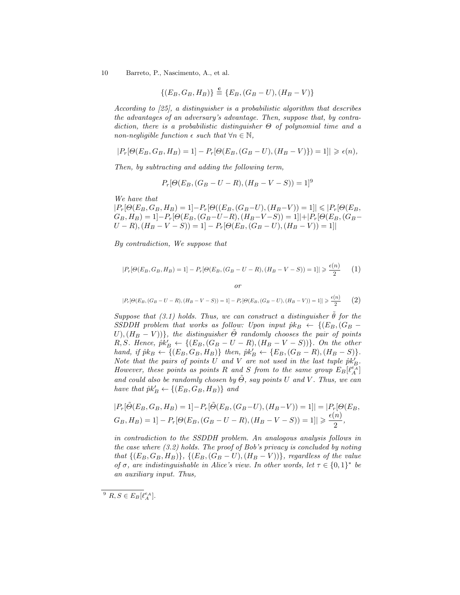10 Barreto, P., Nascimento, A., et al.

$$
\{(E_B, G_B, H_B)\}\stackrel{\mathbf{c}}{=} \{E_B, (G_B - U), (H_B - V)\}
$$

According to [25], a distinguisher is a probabilistic algorithm that describes the advantages of an adversary's advantage. Then, suppose that, by contradiction, there is a probabilistic distinguisher  $\Theta$  of polynomial time and a non-negligible function  $\epsilon$  such that  $\forall n \in \mathbb{N}$ ,

$$
|P_r[\Theta(E_B,G_B,H_B)=1]-P_r[\Theta(E_B,(G_B-U),(H_B-V)\})=1]|\geqslant \epsilon(n),
$$

Then, by subtracting and adding the following term,

$$
P_r[\Theta(E_B, (G_B - U - R), (H_B - V - S))] = 1]^9
$$

We have that

 $|P_r[\Theta(E_B, G_B, H_B) = 1] - P_r[\Theta((E_B, (G_B-U), (H_B-V)) = 1] \leqslant |P_r[\Theta(E_B,$  $(G_B, H_B) = 1]-P_r[\Theta(E_B, (G_B-U-R), (H_B-V-S)) = 1]|+|P_r[\Theta(E_B, (G_B-P)-P)]$  $U - R$ ),  $(H_B - V - S)$ ) = 1]  $- P_r[\Theta(E_B, (G_B - U), (H_B - V)) = 1]$ 

By contradiction, We suppose that

$$
|P_r[\Theta(E_B, G_B, H_B) = 1] - P_r[\Theta(E_B, (G_B - U - R), (H_B - V - S)) = 1]| \ge \frac{\epsilon(n)}{2} \tag{1}
$$

or

$$
|P_r[\Theta(E_B, (G_B - U - R), (H_B - V - S))] = 1] - P_r[\Theta(E_B, (G_B - U), (H_B - V))] = 1] \ge \frac{\epsilon(n)}{2}
$$
 (2)

Suppose that (3.1) holds. Thus, we can construct a distinguisher  $\tilde{\theta}$  for the SSDDH problem that works as follow: Upon input  $\hat{p}k_B \leftarrow \{(E_B,(G_B U$ ,  $(H_B - V)$ }, the distinguisher  $\tilde{\Theta}$  randomly chooses the pair of points R, S. Hence,  $\hat{p}k'_{B} \leftarrow \{(E_B, (G_B - U - R), (H_B - V - S))\}$ . On the other hand, if  $\hat{p}k_B \leftarrow \{(E_B, G_B, H_B)\}$  then,  $\hat{p}k'_B \leftarrow \{E_B, (G_B - R), (H_B - S)\}.$ Note that the pairs of points U and V are not used in the last tuple  $\hat{p}k'_B$ . However, these points as points R and S from to the same group  $E_B[\ell_A^{\epsilon_A}]$ and could also be randomly chosen by  $\tilde{\Theta}$ , say points U and V. Thus, we can have that  $\hat{p}k'_{B} \leftarrow \{(E_B, G_B, H_B)\}$  and

$$
|P_r[\tilde{\Theta}(E_B, G_B, H_B) = 1] - P_r[\tilde{\Theta}(E_B, (G_B - U), (H_B - V)) = 1]| = |P_r[\Theta(E_B, G_B, H_B) = 1] - P_r[\Theta(E_B, (G_B - U - R), (H_B - V - S)) = 1]| \ge \frac{\epsilon(n)}{2},
$$

in contradiction to the SSDDH problem. An analogous analysis follows in the case where (3.2) holds. The proof of Bob's privacy is concluded by noting that  $\{(E_B, G_B, H_B)\}, \{(E_B, (G_B - U), (H_B - V))\},$  regardless of the value of  $\sigma$ , are indistinguishable in Alice's view. In other words, let  $\tau \in \{0,1\}^*$  be an auxiliary input. Thus,

<sup>&</sup>lt;sup>9</sup>  $R, S \in E_B[\ell_A^{e_A}].$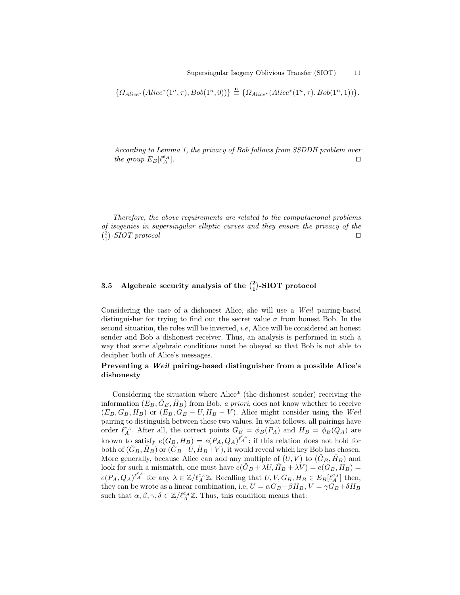$$
\{ \Omega_{Alice^*}(Alice^*(1^n, \tau), Bob(1^n, 0)) \} \stackrel{\mathbf{c}}{=} \{ \Omega_{Alice^*}(Alice^*(1^n, \tau), Bob(1^n, 1)) \}.
$$

According to Lemma 1, the privacy of Bob follows from SSDDH problem over the group  $E_B[\ell_A^{e_A}]$  $\left[ \begin{array}{c} e_A \\ A \end{array} \right]$ .

Therefore, the above requirements are related to the computacional problems of isogenies in supersingular elliptic curves and they ensure the privacy of the  $\binom{2}{1}$ -SIOT protocol utilization of the set of the set of the set of the set of the set of the set of the set of the set of the set of the set of the set of the set of the set of the set of the set of the set of the s

# 3.5 Algebraic security analysis of the  $\binom{2}{1}$ -SIOT protocol

Considering the case of a dishonest Alice, she will use a Weil pairing-based distinguisher for trying to find out the secret value  $\sigma$  from honest Bob. In the second situation, the roles will be inverted, *i.e.* Alice will be considered an honest sender and Bob a dishonest receiver. Thus, an analysis is performed in such a way that some algebraic conditions must be obeyed so that Bob is not able to decipher both of Alice's messages.

# Preventing a Weil pairing-based distinguisher from a possible Alice's dishonesty

Considering the situation where Alice\* (the dishonest sender) receiving the information  $(E_B, \hat{G}_B, \hat{H}_B)$  from Bob, a priori, does not know whether to receive  $(E_B, G_B, H_B)$  or  $(E_B, G_B - U, H_B - V)$ . Alice might consider using the Weil pairing to distinguish between these two values. In what follows, all pairings have order  $\ell_A^{e_A}$ . After all, the correct points  $G_B = \phi_B(P_A)$  and  $H_B = \phi_B(Q_A)$  are known to satisfy  $e(G_B, H_B) = e(P_A, Q_A)^{\ell_A^e}$ : if this relation does not hold for both of  $(\hat{G}_B, \hat{H}_B)$  or  $(\hat{G}_B + U, \hat{H}_B + V)$ , it would reveal which key Bob has chosen. More generally, because Alice can add any multiple of  $(U, V)$  to  $(\hat{G}_B, \hat{H}_B)$  and look for such a mismatch, one must have  $e(\hat{G}_B + \lambda U, \hat{H}_B + \lambda V) = e(G_B, H_B)$  $e(P_A, Q_A)^{\ell_A^{\epsilon_A}}$  for any  $\lambda \in \mathbb{Z}/\ell_A^{\epsilon_A}\mathbb{Z}$ . Recalling that  $U, V, G_B, H_B \in E_B[\ell_A^{\epsilon_A}]$  then, they can be wrote as a linear combination, i.e,  $U = \alpha G_B + \beta H_B$ ,  $V = \gamma G_B + \delta H_B$ such that  $\alpha, \beta, \gamma, \delta \in \mathbb{Z}/\ell_A^{\rho_A} \mathbb{Z}$ . Thus, this condition means that: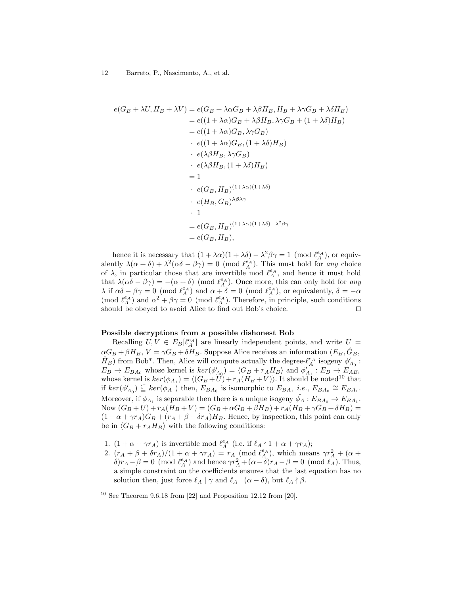$$
e(G_B + \lambda U, H_B + \lambda V) = e(G_B + \lambda \alpha G_B + \lambda \beta H_B, H_B + \lambda \gamma G_B + \lambda \delta H_B)
$$
  
\n
$$
= e((1 + \lambda \alpha)G_B + \lambda \beta H_B, \lambda \gamma G_B + (1 + \lambda \delta)H_B)
$$
  
\n
$$
= e((1 + \lambda \alpha)G_B, \lambda \gamma G_B)
$$
  
\n
$$
\cdot e((1 + \lambda \alpha)G_B, (1 + \lambda \delta)H_B)
$$
  
\n
$$
\cdot e(\lambda \beta H_B, \lambda \gamma G_B)
$$
  
\n
$$
\cdot e(\lambda \beta H_B, (1 + \lambda \delta)H_B)
$$
  
\n
$$
= 1
$$
  
\n
$$
\cdot e(G_B, H_B)^{(1 + \lambda \alpha)(1 + \lambda \delta)}
$$
  
\n
$$
\cdot e(H_B, G_B)^{\lambda \beta \lambda \gamma}
$$
  
\n
$$
\cdot 1
$$
  
\n
$$
= e(G_B, H_B)^{(1 + \lambda \alpha)(1 + \lambda \delta) - \lambda^2 \beta \gamma}
$$
  
\n
$$
= e(G_B, H_B),
$$

hence it is necessary that  $(1 + \lambda \alpha)(1 + \lambda \delta) - \lambda^2 \beta \gamma = 1 \pmod{\ell_A^{\epsilon_A}}$ , or equivalently  $\lambda(\alpha + \delta) + \lambda^2(\alpha\delta - \beta\gamma) = 0$  (mod  $\ell_A^{\epsilon A}$ ). This must hold for any choice of  $\lambda$ , in particular those that are invertible mod  $\ell_A^{e_A}$ , and hence it must hold that  $\lambda(\alpha\delta - \beta\gamma) = -(\alpha + \delta) \pmod{\ell_A^{\epsilon_A}}$ . Once more, this can only hold for any  $\lambda$  if  $\alpha\delta - \beta\gamma = 0$  (mod  $\ell_A^{e_A}$ ) and  $\alpha + \delta = 0$  (mod  $\ell_A^{e_A}$ ), or equivalently,  $\delta = -\alpha$ (mod  $\ell_A^{e_A}$ ) and  $\alpha^2 + \beta \gamma = 0$  (mod  $\ell_A^{e_A}$ ). Therefore, in principle, such conditions should be obeyed to avoid Alice to find out Bob's choice.  $\Box$ 

#### Possible decryptions from a possible dishonest Bob

Recalling  $U, V \in E_B[\ell_A^{\epsilon_A}]$  are linearly independent points, and write  $U =$  $\alpha G_B + \beta H_B$ ,  $V = \gamma G_B + \delta H_B$ . Suppose Alice receives an information  $(E_B, \hat{G}_B, \hat{G}_B)$  $(\hat{H}_B)$  from Bob\*. Then, Alice will compute actually the degree- $\ell_A^{\epsilon A}$  isogeny  $\phi'_{A_0}$ :  $E_B \to E_{BA_0}$  whose kernel is  $\ker(\phi'_{A_0}) = \langle G_B + r_A H_B \rangle$  and  $\phi'_{A_1} : E_B \to E_{AB_1}$ whose kernel is  $\ker(\phi_{A_1}) = \langle (G_B + U) + r_A(H_B + V) \rangle$ . It should be noted<sup>10</sup> that if  $ker(\phi'_{A_0}) \subseteq ker(\phi_{A_1})$  then,  $E_{BA_0}$  is isomorphic to  $E_{BA_1}$  *i.e.*,  $E_{BA_0} \cong E_{BA_1}$ . Moreover, if  $\phi_{A_1}$  is separable then there is a unique isogeny  $\hat{\phi_A} : E_{BA_0} \to E_{BA_1}$ . Now  $(G_B + U) + r_A(H_B + V) = (G_B + \alpha G_B + \beta H_B) + r_A(H_B + \gamma G_B + \delta H_B) =$  $(1 + \alpha + \gamma r_A)G_B + (r_A + \beta + \delta r_A)H_B$ . Hence, by inspection, this point can only be in  $\langle G_B + r_A H_B \rangle$  with the following conditions:

- 1.  $(1 + \alpha + \gamma r_A)$  is invertible mod  $\ell_A^{e_A}$  (i.e. if  $\ell_A \nmid 1 + \alpha + \gamma r_A$ );
- 2.  $(r_A + \beta + \delta r_A)/(1 + \alpha + \gamma r_A) = r_A \pmod{\ell_A^{e_A}}$ , which means  $\gamma r_A^2 + (\alpha + \delta r_A)^2$  $\delta$ ) $r_A - \beta = 0 \pmod{\ell_A^{\epsilon_A}}$  and hence  $\gamma r_A^2 + (\alpha - \delta)r_A - \beta = 0 \pmod{\ell_A}$ . Thus, a simple constraint on the coefficients ensures that the last equation has no solution then, just force  $\ell_A | \gamma$  and  $\ell_A | (\alpha - \delta)$ , but  $\ell_A \nmid \beta$ .

 $10$  See Theorem 9.6.18 from [22] and Proposition 12.12 from [20].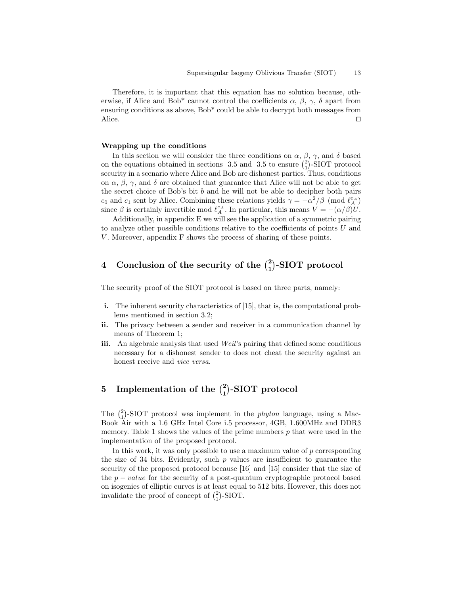Therefore, it is important that this equation has no solution because, otherwise, if Alice and Bob<sup>\*</sup> cannot control the coefficients  $\alpha$ ,  $\beta$ ,  $\gamma$ ,  $\delta$  apart from ensuring conditions as above, Bob\* could be able to decrypt both messages from Alice.  $\Box$ 

#### Wrapping up the conditions

In this section we will consider the three conditions on  $\alpha$ ,  $\beta$ ,  $\gamma$ , and  $\delta$  based on the equations obtained in sections 3.5 and 3.5 to ensure  $\binom{2}{1}$ -SIOT protocol security in a scenario where Alice and Bob are dishonest parties. Thus, conditions on  $\alpha$ ,  $\beta$ ,  $\gamma$ , and  $\delta$  are obtained that guarantee that Alice will not be able to get the secret choice of Bob's bit b and he will not be able to decipher both pairs  $c_0$  and  $c_1$  sent by Alice. Combining these relations yields  $\gamma = -\alpha^2/\beta \pmod{\ell_A^{\epsilon_A}}$ since  $\beta$  is certainly invertible mod  $\ell_A^{e_A}$ . In particular, this means  $V = -(\alpha/\beta)U$ .

Additionally, in appendix E we will see the application of a symmetric pairing to analyze other possible conditions relative to the coefficients of points U and V. Moreover, appendix F shows the process of sharing of these points.

# 4 Conclusion of the security of the  $\binom{2}{1}$ -SIOT protocol

The security proof of the SIOT protocol is based on three parts, namely:

- i. The inherent security characteristics of [15], that is, the computational problems mentioned in section 3.2;
- ii. The privacy between a sender and receiver in a communication channel by means of Theorem 1;
- iii. An algebraic analysis that used Weil's pairing that defined some conditions necessary for a dishonest sender to does not cheat the security against an honest receive and vice versa.

# 5 Implementation of the  $\binom{2}{1}$ -SIOT protocol

The  $\binom{2}{1}$ -SIOT protocol was implement in the *phyton* language, using a Mac-Book Air with a 1.6 GHz Intel Core i.5 processor, 4GB, 1.600MHz and DDR3 memory. Table 1 shows the values of the prime numbers  $p$  that were used in the implementation of the proposed protocol.

In this work, it was only possible to use a maximum value of  $p$  corresponding the size of 34 bits. Evidently, such  $p$  values are insufficient to guarantee the security of the proposed protocol because [16] and [15] consider that the size of the  $p - value$  for the security of a post-quantum cryptographic protocol based on isogenies of elliptic curves is at least equal to 512 bits. However, this does not invalidate the proof of concept of  $\binom{2}{1}$ -SIOT.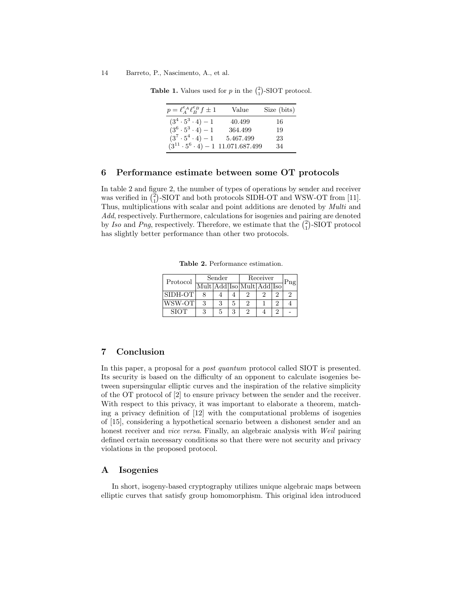#### 14 Barreto, P., Nascimento, A., et al.

**Table 1.** Values used for p in the  $\binom{2}{1}$ -SIOT protocol.

| $p = \ell_A^{e_A} \ell_B^{e_B} f \pm 1$         | Value     | Size (bits) |
|-------------------------------------------------|-----------|-------------|
| $(3^4 \cdot 5^3 \cdot 4) - 1$                   | 40.499    | -16         |
| $(3^6 \cdot 5^3 \cdot 4) - 1$                   | 364.499   | 19          |
| $(3^7 \cdot 5^4 \cdot 4) - 1$                   | 5.467.499 | 23          |
| $(3^{11} \cdot 5^6 \cdot 4) - 1$ 11.071.687.499 |           | 34          |

## 6 Performance estimate between some OT protocols

In table 2 and figure 2, the number of types of operations by sender and receiver was verified in  $\binom{2}{1}$ -SIOT and both protocols SIDH-OT and WSW-OT from [11]. Thus, multiplications with scalar and point additions are denoted by Multi and Add, respectively. Furthermore, calculations for isogenies and pairing are denoted by Iso and Png, respectively. Therefore, we estimate that the  $\binom{2}{1}$ -SIOT protocol has slightly better performance than other two protocols.

Table 2. Performance estimation.

| Protocol    | Sender |   | Receiver |                           | Png |  |  |
|-------------|--------|---|----------|---------------------------|-----|--|--|
|             |        |   |          | Mult Add Iso Mult Add Iso |     |  |  |
| SIDH-OT     |        |   |          |                           |     |  |  |
| WSW-OT      |        | 3 | 5        |                           |     |  |  |
| <b>SIOT</b> |        | 5 |          |                           |     |  |  |

# 7 Conclusion

In this paper, a proposal for a post quantum protocol called SIOT is presented. Its security is based on the difficulty of an opponent to calculate isogenies between supersingular elliptic curves and the inspiration of the relative simplicity of the OT protocol of [2] to ensure privacy between the sender and the receiver. With respect to this privacy, it was important to elaborate a theorem, matching a privacy definition of [12] with the computational problems of isogenies of [15], considering a hypothetical scenario between a dishonest sender and an honest receiver and *vice versa*. Finally, an algebraic analysis with Weil pairing defined certain necessary conditions so that there were not security and privacy violations in the proposed protocol.

# A Isogenies

In short, isogeny-based cryptography utilizes unique algebraic maps between elliptic curves that satisfy group homomorphism. This original idea introduced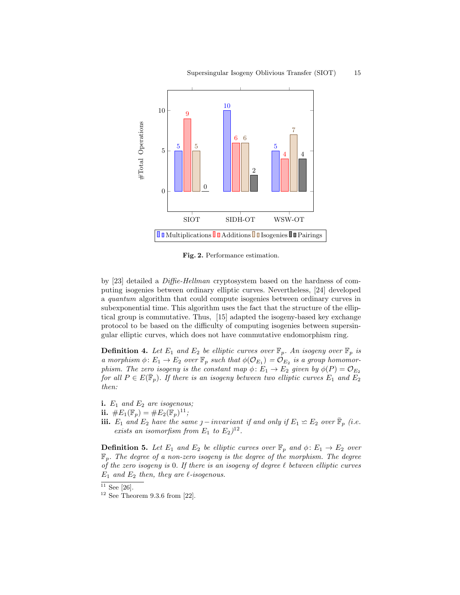

Fig. 2. Performance estimation.

by [23] detailed a Diffie-Hellman cryptosystem based on the hardness of computing isogenies between ordinary elliptic curves. Nevertheless, [24] developed a quantum algorithm that could compute isogenies between ordinary curves in subexponential time. This algorithm uses the fact that the structure of the elliptical group is commutative. Thus, [15] adapted the isogeny-based key exchange protocol to be based on the difficulty of computing isogenies between supersingular elliptic curves, which does not have commutative endomorphism ring.

**Definition 4.** Let  $E_1$  and  $E_2$  be elliptic curves over  $\mathbb{F}_p$ . An isogeny over  $\mathbb{F}_p$  is a morphism  $\phi: E_1 \to E_2$  over  $\mathbb{F}_p$  such that  $\phi(\mathcal{O}_{E_1}) = \mathcal{O}_{E_2}$  is a group homomorphism. The zero isogeny is the constant map  $\phi: E_1 \to E_2$  given by  $\phi(P) = \mathcal{O}_{E_2}$ for all  $P \in E(\bar{\mathbb{F}}_p)$ . If there is an isogeny between two elliptic curves  $E_1$  and  $E_2$ then:

- i.  $E_1$  and  $E_2$  are isogenous;
- ii.  $\#E_1(\mathbb{F}_p) = \#E_2(\mathbb{F}_p)^{11}$ ;
- **iii.**  $E_1$  and  $E_2$  have the same  $j$  invariant if and only if  $E_1 \simeq E_2$  over  $\bar{\mathbb{F}}_p$  (i.e. exists an isomorfism from  $E_1$  to  $E_2)^{12}$ .

**Definition 5.** Let  $E_1$  and  $E_2$  be elliptic curves over  $\mathbb{F}_p$  and  $\phi: E_1 \to E_2$  over  $\mathbb{F}_p$ . The degree of a non-zero isogeny is the degree of the morphism. The degree of the zero isogeny is 0. If there is an isogeny of degree  $\ell$  between elliptic curves  $E_1$  and  $E_2$  then, they are  $\ell$ -isogenous.

 $11$  See [26].

 $12$  See Theorem 9.3.6 from [22].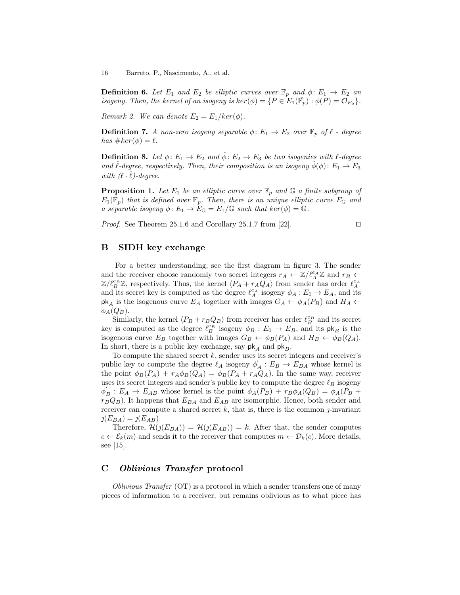16 Barreto, P., Nascimento, A., et al.

**Definition 6.** Let  $E_1$  and  $E_2$  be elliptic curves over  $\mathbb{F}_p$  and  $\phi: E_1 \to E_2$  and isogeny. Then, the kernel of an isogeny is  $\ker(\phi) = \{P \in E_1(\overline{\mathbb{F}}_p) : \phi(P) = \mathcal{O}_{E_2}\}.$ 

Remark 2. We can denote  $E_2 = E_1/ker(\phi)$ .

**Definition 7.** A non-zero isogeny separable  $\phi: E_1 \to E_2$  over  $\mathbb{F}_p$  of  $\ell$  - degree has  $\#ker(\phi) = \ell$ .

**Definition 8.** Let  $\phi: E_1 \to E_2$  and  $\hat{\phi}: E_2 \to E_3$  be two isogenies with  $\ell$ -degree and  $\ell$ -degree, respectively. Then, their composition is an isogeny  $\phi(\phi)$ :  $E_1 \rightarrow E_3$ with  $(\ell \cdot \hat{\ell})$ -degree.

**Proposition 1.** Let  $E_1$  be an elliptic curve over  $\mathbb{F}_p$  and  $\mathbb{G}$  a finite subgroup of  $E_1(\bar{\bar{\mathbb{F}}}_p)$  that is defined over  $\mathbb{F}_p$ . Then, there is an unique elliptic curve  $E_{\mathbb{G}}$  and a separable isogeny  $\phi: E_1 \to E_{\mathbb{G}} = E_1/\mathbb{G}$  such that  $\ker(\phi) = \mathbb{G}$ .

*Proof.* See Theorem 25.1.6 and Corollary 25.1.7 from [22].

$$
\overline{a}
$$

# B SIDH key exchange

For a better understanding, see the first diagram in figure 3. The sender and the receiver choose randomly two secret integers  $r_A \leftarrow \mathbb{Z}/\ell_A^{e_A} \mathbb{Z}$  and  $r_B \leftarrow$  $\mathbb{Z}/\ell_B^{e_B}\mathbb{Z}$ , respectively. Thus, the kernel  $\langle P_A + r_A Q_A \rangle$  from sender has order  $\ell_A^{e_A}$ and its secret key is computed as the degree  $\ell_A^{e_A}$  isogeny  $\phi_A : E_0 \to E_A$ , and its  $\mathsf{pk}_A$  is the isogenous curve  $E_A$  together with images  $G_A \leftarrow \phi_A(P_B)$  and  $H_A \leftarrow$  $\phi_A(Q_B)$ .

Similarly, the kernel  $\langle P_B + r_B Q_B \rangle$  from receiver has order  $\ell_B^{e_B}$  and its secret key is computed as the degree  $\ell_B^{\varepsilon_B}$  isogeny  $\phi_B : E_0 \to E_B$ , and its  $\mathsf{pk}_B$  is the isogenous curve  $E_B$  together with images  $G_B \leftarrow \phi_B(P_A)$  and  $H_B \leftarrow \phi_B(Q_A)$ . In short, there is a public key exchange, say  $pk_A$  and  $pk_B$ .

To compute the shared secret  $k$ , sender uses its secret integers and receiver's public key to compute the degree  $\ell_A$  isogeny  $\phi'_A : E_B \to E_{BA}$  whose kernel is the point  $\phi_B(P_A) + r_A \phi_B(Q_A) = \phi_B(P_A + r_A Q_A)$ . In the same way, receiver uses its secret integers and sender's public key to compute the degree  $\ell_B$  isogeny  $\phi'_B : E_A \to E_{AB}$  whose kernel is the point  $\phi_A(P_B) + r_B \phi_A(Q_B) = \phi_A(P_B) + r_B \phi_A(Q_B)$  $r_BQ_B$ ). It happens that  $E_{BA}$  and  $E_{AB}$  are isomorphic. Hence, both sender and receiver can compute a shared secret  $k$ , that is, there is the common  $j$ -invariant  $\jmath(E_{BA}) = \jmath(E_{AB}).$ 

Therefore,  $\mathcal{H}(j(E_{BA})) = \mathcal{H}(j(E_{AB})) = k$ . After that, the sender computes  $c \leftarrow \mathcal{E}_k(m)$  and sends it to the receiver that computes  $m \leftarrow \mathcal{D}_k(c)$ . More details, see [15].

# C Oblivious Transfer protocol

Oblivious Transfer (OT) is a protocol in which a sender transfers one of many pieces of information to a receiver, but remains oblivious as to what piece has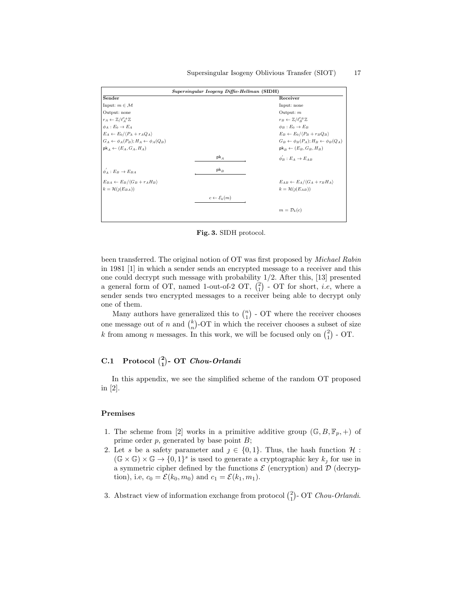| Supersingular Isogeny Diffie-Hellman (SIDH)              |                                 |                                                          |  |  |
|----------------------------------------------------------|---------------------------------|----------------------------------------------------------|--|--|
| Sender                                                   |                                 | Receiver                                                 |  |  |
| Input: $m \in \mathcal{M}$                               |                                 | Input: none                                              |  |  |
| Output: none                                             |                                 | Output: $m$                                              |  |  |
| $r_A \leftarrow \mathbb{Z}/\ell_A^{e_A} \mathbb{Z}$      |                                 | $r_B \leftarrow \mathbb{Z}/\ell_P^{e_B} \mathbb{Z}$      |  |  |
| $\phi_A : E_0 \to E_A$                                   |                                 | $\phi_B : E_0 \to E_B$                                   |  |  |
| $E_A \leftarrow E_0 / \langle P_A + r_A Q_A \rangle$     |                                 | $E_B \leftarrow E_0 / \langle P_B + r_B Q_B \rangle$     |  |  |
| $G_A \leftarrow \phi_A(P_B); H_A \leftarrow \phi_A(Q_B)$ |                                 | $G_B \leftarrow \phi_B(P_A); H_B \leftarrow \phi_B(Q_A)$ |  |  |
| $\mathsf{pk}_A \leftarrow (E_A, G_A, H_A)$               |                                 | $\mathsf{pk}_B \leftarrow (E_B, G_B, H_B)$               |  |  |
|                                                          | $pk_{A}$                        | $\phi_P: E_A \to E_{AB}$                                 |  |  |
| $\phi_A : E_B \to E_{BA}$                                | $pk_B$                          |                                                          |  |  |
| $E_{BA} \leftarrow E_B / \langle G_B + r_A H_B \rangle$  |                                 | $E_{AB} \leftarrow E_A / \langle G_A + r_B H_A \rangle$  |  |  |
| $k = \mathcal{H}(j(E_{BA}))$                             |                                 | $k = \mathcal{H}(j(E_{AB}))$                             |  |  |
|                                                          | $c \leftarrow \mathcal{E}_k(m)$ |                                                          |  |  |
|                                                          |                                 | $m = \mathcal{D}_k(c)$                                   |  |  |

Fig. 3. SIDH protocol.

been transferred. The original notion of OT was first proposed by Michael Rabin in 1981 [1] in which a sender sends an encrypted message to a receiver and this one could decrypt such message with probability 1/2. After this, [13] presented a general form of OT, named 1-out-of-2 OT,  $\binom{2}{1}$  - OT for short, *i.e*, where a sender sends two encrypted messages to a receiver being able to decrypt only one of them.

Many authors have generalized this to  $\binom{n}{1}$  - OT where the receiver chooses one message out of n and  $\binom{k}{n}$ -OT in which the receiver chooses a subset of size k from among n messages. In this work, we will be focused only on  $\binom{2}{1}$  - OT.

# C.1 Protocol  $\binom{2}{1}$ - OT Chou-Orlandi

In this appendix, we see the simplified scheme of the random OT proposed in [2].

### Premises

- 1. The scheme from [2] works in a primitive additive group  $(\mathbb{G}, B, \mathbb{F}_p, +)$  of prime order  $p$ , generated by base point  $B$ ;
- 2. Let s be a safety parameter and  $j \in \{0,1\}$ . Thus, the hash function  $\mathcal{H}$ :  $(\mathbb{G} \times \mathbb{G}) \times \mathbb{G} \to \{0,1\}^s$  is used to generate a cryptographic key  $k_j$  for use in a symmetric cipher defined by the functions  $\mathcal E$  (encryption) and  $\mathcal D$  (decryption), i.e,  $c_0 = \mathcal{E}(k_0, m_0)$  and  $c_1 = \mathcal{E}(k_1, m_1)$ .
- 3. Abstract view of information exchange from protocol  $\binom{2}{1}$  OT Chou-Orlandi.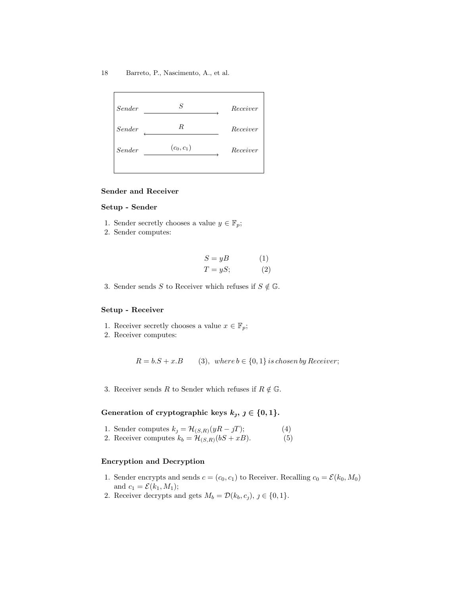

# Sender and Receiver

## Setup - Sender

- 1. Sender secretly chooses a value  $y \in \mathbb{F}_p$ ;
- 2. Sender computes:

$$
S = yB
$$
 (1)  

$$
T = yS;
$$
 (2)

3. Sender sends S to Receiver which refuses if  $S \notin \mathbb{G}$ .

### Setup - Receiver

- 1. Receiver secretly chooses a value  $x \in \mathbb{F}_p$ ;
- 2. Receiver computes:

 $R = b.S + x.B$  (3), where  $b \in \{0, 1\}$  is chosen by Receiver;

3. Receiver sends R to Sender which refuses if  $R \notin \mathbb{G}$ .

# Generation of cryptographic keys  $k_j$ ,  $j \in \{0, 1\}$ .

- 1. Sender computes  $k_j = \mathcal{H}_{(S,R)}(yR jT);$  (4)
- 2. Receiver computes  $k_b = \mathcal{H}_{(S,R)}(bS + xB).$  (5)

## Encryption and Decryption

- 1. Sender encrypts and sends  $c = (c_0, c_1)$  to Receiver. Recalling  $c_0 = \mathcal{E}(k_0, M_0)$ and  $c_1 = \mathcal{E}(k_1, M_1);$
- 2. Receiver decrypts and gets  $M_b = \mathcal{D}(k_b, c_j), j \in \{0, 1\}.$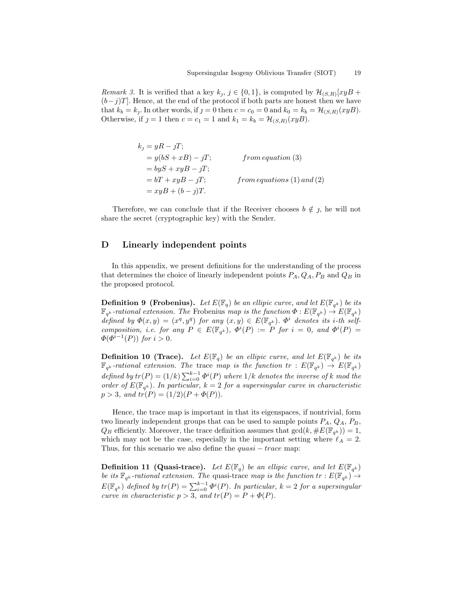*Remark 3.* It is verified that a key  $k_j$ ,  $j \in \{0, 1\}$ , is computed by  $\mathcal{H}_{(S,R)}[xyB +$  $(b-j)T$ . Hence, at the end of the protocol if both parts are honest then we have that  $k_b = k_j$ . In other words, if  $j = 0$  then  $c = c_0 = 0$  and  $k_0 = k_b = \mathcal{H}_{(S,R)}(xyB)$ . Otherwise, if  $j = 1$  then  $c = c_1 = 1$  and  $k_1 = k_b = \mathcal{H}_{(S,R)}(xyB)$ .

> $k_i = yR - jT;$  $= y(bS + xB) - jT;$  from equation (3)  $= byS + xyB - jT;$  $= bT + xyB - jT;$  from equations (1) and (2)  $= xyB + (b - j)T$ .

Therefore, we can conclude that if the Receiver chooses  $b \notin j$ , he will not share the secret (cryptographic key) with the Sender.

# D Linearly independent points

In this appendix, we present definitions for the understanding of the process that determines the choice of linearly independent points  $P_A, Q_A, P_B$  and  $Q_B$  in the proposed protocol.

**Definition 9 (Frobenius).** Let  $E(\mathbb{F}_q)$  be an ellipic curve, and let  $E(\mathbb{F}_{q^k})$  be its  $\mathbb{F}_{q^k}$ -rational extension. The Frobenius map is the function  $\Phi: E(\mathbb{F}_{q^k}) \to E(\mathbb{F}_{q^k})$ defined by  $\Phi(x,y) = (x^q, y^q)$  for any  $(x,y) \in E(\mathbb{F}_{q^k})$ .  $\Phi^i$  denotes its i-th selfcomposition, i.e. for any  $P \in E(\mathbb{F}_{q^k})$ ,  $\Phi^i(P) := P$  for  $i = 0$ , and  $\Phi^i(P) =$  $\Phi(\Phi^{i-1}(P))$  for  $i > 0$ .

**Definition 10 (Trace).** Let  $E(\mathbb{F}_q)$  be an ellipic curve, and let  $E(\mathbb{F}_{q^k})$  be its  $\mathbb{F}_{q^k}$ -rational extension. The trace map is the function  $tr : E(\mathbb{F}_{q^k}) \to E(\mathbb{F}_{q^k})$ defined by  $tr(P) = (1/k) \sum_{i=0}^{k-1} \Phi^{i}(P)$  where  $1/k$  denotes the inverse of k mod the order of  $E(\mathbb{F}_{q^k})$ . In particular,  $k = 2$  for a supersingular curve in characteristic  $p > 3$ , and  $tr(P) = (1/2)(P + \Phi(P)).$ 

Hence, the trace map is important in that its eigenspaces, if nontrivial, form two linearly independent groups that can be used to sample points  $P_A$ ,  $Q_A$ ,  $P_B$ ,  $Q_B$  efficiently. Moreover, the trace definition assumes that  $gcd(k, \#E(\mathbb{F}_{q^k})) = 1$ , which may not be the case, especially in the important setting where  $\ell_A = 2$ . Thus, for this scenario we also define the  $quasi - trace$  map:

**Definition 11 (Quasi-trace).** Let  $E(\mathbb{F}_q)$  be an ellipic curve, and let  $E(\mathbb{F}_{q^k})$ be its  $\mathbb{F}_{q^k}$ -rational extension. The quasi-trace map is the function  $tr : E(\mathbb{F}_{q^k}) \to$  $E(\mathbb{F}_{q^k})$  defined by  $tr(P) = \sum_{i=0}^{k-1} \Phi^i(P)$ . In particular,  $k=2$  for a supersingular curve in characteristic  $p > 3$ , and  $tr(P) = P + \Phi(P)$ .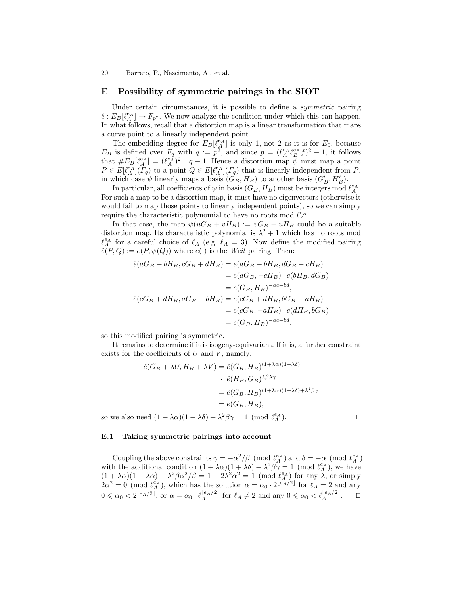# E Possibility of symmetric pairings in the SIOT

Under certain circumstances, it is possible to define a symmetric pairing  $\hat{e}: E_B[\ell_A^{e_A}] \to F_{p^2}$ . We now analyze the condition under which this can happen. In what follows, recall that a distortion map is a linear transformation that maps a curve point to a linearly independent point.

The embedding degree for  $E_B[\ell_A^{\varepsilon_A}]$  is only 1, not 2 as it is for  $E_0$ , because  $E_B$  is defined over  $F_q$  with  $q := p^2$ , and since  $p = (\ell_A^{e_A} \ell_B^{e_B} f)^2 - 1$ , it follows that  $#E_B[\ell_A^{e_A}] = (\ell_A^{e_A})^2 | q-1$ . Hence a distortion map  $\psi$  must map a point  $P \in E[\ell_A^{e_A}](F_q)$  to a point  $Q \in E[\ell_A^{e_A}](F_q)$  that is linearly independent from P, in which case  $\psi$  linearly maps a basis  $(\tilde{G}_B, H_B)$  to another basis  $(G'_B, H'_B)$ .

In particular, all coefficients of  $\psi$  in basis  $(G_B, H_B)$  must be integers mod  $\ell_A^{e_A}$ . For such a map to be a distortion map, it must have no eigenvectors (otherwise it would fail to map those points to linearly independent points), so we can simply require the characteristic polynomial to have no roots mod  $\ell_A^{e_A}$ .

In that case, the map  $\psi(uG_B + vH_B) := vG_B - uH_B$  could be a suitable distortion map. Its characteristic polynomial is  $\lambda^2 + 1$  which has no roots mod  $\ell_A^{e_A}$  for a careful choice of  $\ell_A$  (e.g.  $\ell_A = 3$ ). Now define the modified pairing  $\hat{e}(P,Q) := e(P,\psi(Q))$  where  $e(\cdot)$  is the Weil pairing. Then:

$$
\begin{aligned}\n\hat{e}(aG_B + bH_B, cG_B + dH_B) &= e(aG_B + bH_B, dG_B - cH_B) \\
&= e(aG_B, -cH_B) \cdot e(bH_B, dG_B) \\
&= e(G_B, H_B)^{-ac-bd}, \\
\hat{e}(cG_B + dH_B, aG_B + bH_B) &= e(cG_B + dH_B, bG_B - aH_B) \\
&= e(cG_B, -aH_B) \cdot e(dH_B, bG_B) \\
&= e(G_B, H_B)^{-ac-bd},\n\end{aligned}
$$

so this modified pairing is symmetric.

It remains to determine if it is isogeny-equivariant. If it is, a further constraint exists for the coefficients of  $U$  and  $V$ , namely:

$$
\begin{aligned}\n\hat{e}(G_B + \lambda U, H_B + \lambda V) &= \hat{e}(G_B, H_B)^{(1 + \lambda \alpha)(1 + \lambda \delta)} \\
&\quad \cdot \hat{e}(H_B, G_B)^{\lambda \beta \lambda \gamma} \\
&= \hat{e}(G_B, H_B)^{(1 + \lambda \alpha)(1 + \lambda \delta) + \lambda^2 \beta \gamma} \\
&= e(G_B, H_B),\n\end{aligned}
$$

so we also need  $(1 + \lambda \alpha)(1 + \lambda \delta) + \lambda^2 \beta \gamma = 1 \pmod{\ell_A^{\epsilon_A}}$ .

#### E.1 Taking symmetric pairings into account

Coupling the above constraints  $\gamma = -\alpha^2/\beta \pmod{\ell_A^{e_A}}$  and  $\delta = -\alpha \pmod{\ell_A^{e_A}}$ with the additional condition  $(1 + \lambda \alpha)(1 + \lambda \delta) + \lambda^2 \beta \gamma = 1 \pmod{\ell_A^{\epsilon_A}}$ , we have  $(1 + \lambda \alpha)(1 - \lambda \alpha) - \lambda^2 \beta \alpha^2/\beta = 1 - 2\lambda^2 \alpha^2 = 1 \pmod{\ell_A^{\epsilon_A}}$  for any  $\lambda$ , or simply  $2\alpha^2 = 0 \pmod{\ell_A^{\epsilon_A}}$ , which has the solution  $\alpha = \alpha_0 \cdot 2^{\lfloor \epsilon_A/2 \rfloor}$  for  $\ell_A = 2$  and any  $0 \leq \alpha_0 < 2^{\lceil e_A/2 \rceil}$ , or  $\alpha = \alpha_0 \cdot \ell_A^{\lceil e_A/2 \rceil}$  for  $\ell_A \neq 2$  and any  $0 \leq \alpha_0 < \ell_A^{\lfloor e_A/2 \rfloor}$ .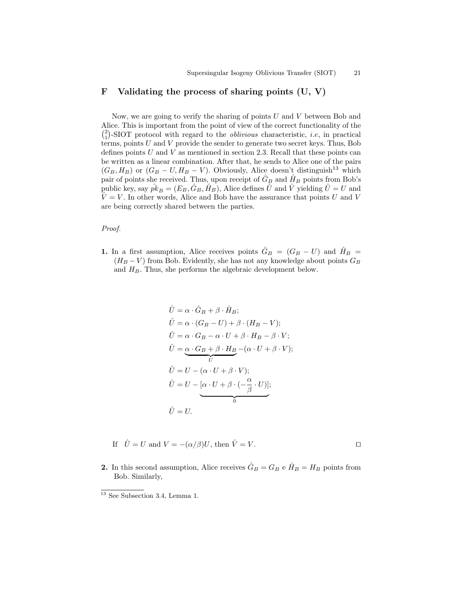# F Validating the process of sharing points  $(U, V)$

Now, we are going to verify the sharing of points  $U$  and  $V$  between Bob and Alice. This is important from the point of view of the correct functionality of the  $\binom{2}{1}$ -SIOT protocol with regard to the *oblivious* characteristic, *i.e.*, in practical terms, points  $U$  and  $V$  provide the sender to generate two secret keys. Thus, Bob defines points  $U$  and  $V$  as mentioned in section 2.3. Recall that these points can be written as a linear combination. After that, he sends to Alice one of the pairs  $(G_B, H_B)$  or  $(G_B - U, H_B - V)$ . Obviously, Alice doesn't distinguish<sup>13</sup> which pair of points she received. Thus, upon receipt of  $\hat{G}_B$  and  $\hat{H}_B$  points from Bob's public key, say  $pk_B = (E_B, G_B, H_B)$ , Alice defines U and V yielding  $U = U$  and  $\hat{V} = V$ . In other words, Alice and Bob have the assurance that points U and V are being correctly shared between the parties.

#### Proof.

1. In a first assumption, Alice receives points  $\hat{G}_B = (G_B - U)$  and  $\hat{H}_B =$  $(H_B - V)$  from Bob. Evidently, she has not any knowledge about points  $G_B$ and  $H_B$ . Thus, she performs the algebraic development below.

$$
\hat{U} = \alpha \cdot \hat{G}_B + \beta \cdot \hat{H}_B; \n\hat{U} = \alpha \cdot (G_B - U) + \beta \cdot (H_B - V); \n\hat{U} = \alpha \cdot G_B - \alpha \cdot U + \beta \cdot H_B - \beta \cdot V; \n\hat{U} = \underbrace{\alpha \cdot G_B + \beta \cdot H_B - (\alpha \cdot U + \beta \cdot V)}_{U}; \n\hat{U} = U - (\alpha \cdot U + \beta \cdot V); \n\hat{U} = U - [\alpha \cdot U + \beta \cdot (-\frac{\alpha}{\beta} \cdot U)]; \n\hat{U} = U.
$$

- If  $\hat{U} = U$  and  $V = -(\alpha/\beta)U$ , then  $\hat{V} = V$ .
- **2.** In this second assumption, Alice receives  $\hat{G}_B = G_B$  e  $\hat{H}_B = H_B$  points from Bob. Similarly,

 $\frac{13}{13}$  See Subsection 3.4, Lemma 1.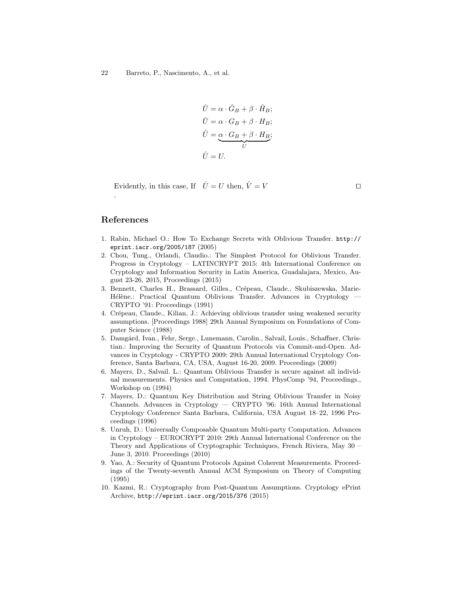$$
\hat{U} = \alpha \cdot \hat{G}_B + \beta \cdot \hat{H}_B; \n\hat{U} = \alpha \cdot G_B + \beta \cdot H_B; \n\hat{U} = \underbrace{\alpha \cdot G_B + \beta \cdot H_B}_{U}; \n\hat{U} = U.
$$

Evidently, in this case, If  $\hat{U} = U$  then,  $\hat{V} = V$ 

# References

.

- 1. Rabin, Michael O.: How To Exchange Secrets with Oblivious Transfer. http:// eprint.iacr.org/2005/187 (2005)
- 2. Chou, Tung., Orlandi, Claudio.: The Simplest Protocol for Oblivious Transfer. Progress in Cryptology – LATINCRYPT 2015: 4th International Conference on Cryptology and Information Security in Latin America, Guadalajara, Mexico, August 23-26, 2015, Proceedings (2015)
- 3. Bennett, Charles H., Brassard, Gilles., Crépeau, Claude., Skubiszewska, Marie-Hélène.: Practical Quantum Oblivious Transfer. Advances in Cryptology CRYPTO '91: Proceedings (1991)
- 4. Crépeau, Claude., Kilian, J.: Achieving oblivious transfer using weakened security assumptions. [Proceedings 1988] 29th Annual Symposium on Foundations of Computer Science (1988)
- 5. Damgård, Ivan., Fehr, Serge., Lunemann, Carolin., Salvail, Louis., Schaffner, Christian.: Improving the Security of Quantum Protocols via Commit-and-Open. Advances in Cryptology - CRYPTO 2009: 29th Annual International Cryptology Conference, Santa Barbara, CA, USA, August 16-20, 2009. Proceedings (2009)
- 6. Mayers, D., Salvail. L.: Quantum Oblivious Transfer is secure against all individual measurements. Physics and Computation, 1994. PhysComp '94, Proceedings., Workshop on (1994)
- 7. Mayers, D.: Quantum Key Distribution and String Oblivious Transfer in Noisy Channels. Advances in Cryptology — CRYPTO '96: 16th Annual International Cryptology Conference Santa Barbara, California, USA August 18–22, 1996 Proceedings (1996)
- 8. Unruh, D.: Universally Composable Quantum Multi-party Computation. Advances in Cryptology – EUROCRYPT 2010: 29th Annual International Conference on the Theory and Applications of Cryptographic Techniques, French Riviera, May 30 – June 3, 2010. Proceedings (2010)
- 9. Yao, A.: Security of Quantum Protocols Against Coherent Measurements. Proceedings of the Twenty-seventh Annual ACM Symposium on Theory of Computing (1995)
- 10. Kazmi, R.: Cryptography from Post-Quantum Assumptions. Cryptology ePrint Archive, http://eprint.iacr.org/2015/376 (2015)